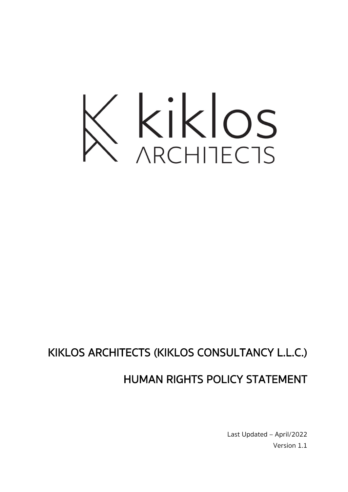

# KIKLOS ARCHITECTS (KIKLOS CONSULTANCY L.L.C.)

## HUMAN RIGHTS POLICY STATEMENT

Last Updated – April/2022 Version 1.1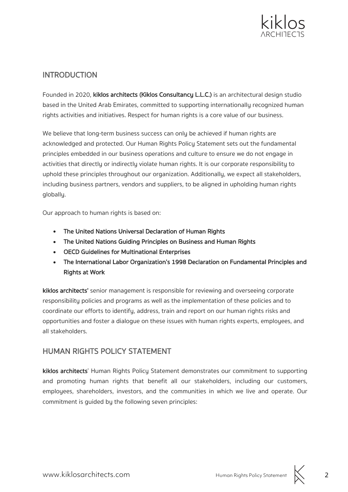

#### INTRODUCTION

Founded in 2020, kiklos architects (Kiklos Consultancy L.L.C.) is an architectural design studio based in the United Arab Emirates, committed to supporting internationally recognized human rights activities and initiatives. Respect for human rights is a core value of our business.

We believe that long-term business success can only be achieved if human rights are acknowledged and protected. Our Human Rights Policy Statement sets out the fundamental principles embedded in our business operations and culture to ensure we do not engage in activities that directly or indirectly violate human rights. It is our corporate responsibility to uphold these principles throughout our organization. Additionally, we expect all stakeholders, including business partners, vendors and suppliers, to be aligned in upholding human rights globally.

Our approach to human rights is based on:

- The United Nations Universal Declaration of Human Rights
- The United Nations Guiding Principles on Business and Human Rights
- OECD Guidelines for Multinational Enterprises
- The International Labor Organization's 1998 Declaration on Fundamental Principles and Rights at Work

kiklos architects' senior management is responsible for reviewing and overseeing corporate responsibility policies and programs as well as the implementation of these policies and to coordinate our efforts to identify, address, train and report on our human rights risks and opportunities and foster a dialogue on these issues with human rights experts, employees, and all stakeholders.

#### HUMAN RIGHTS POLICY STATEMENT

kiklos architects' Human Rights Policy Statement demonstrates our commitment to supporting and promoting human rights that benefit all our stakeholders, including our customers, employees, shareholders, investors, and the communities in which we live and operate. Our commitment is guided by the following seven principles:

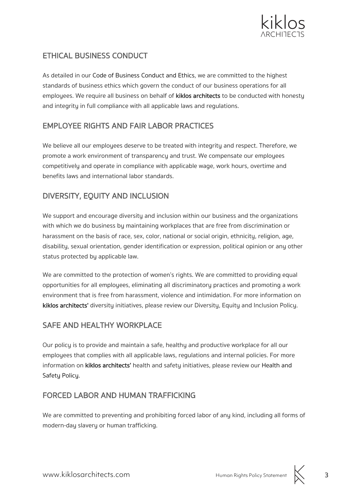

## ETHICAL BUSINESS CONDUCT

As detailed in our Code of Business Conduct and Ethics, we are committed to the highest standards of business ethics which govern the conduct of our business operations for all employees. We require all business on behalf of kiklos architects to be conducted with honesty and integrity in full compliance with all applicable laws and regulations.

#### EMPLOYEE RIGHTS AND FAIR LABOR PRACTICES

We believe all our employees deserve to be treated with integrity and respect. Therefore, we promote a work environment of transparency and trust. We compensate our employees competitively and operate in compliance with applicable wage, work hours, overtime and benefits laws and international labor standards.

## DIVERSITY, EQUITY AND INCLUSION

We support and encourage diversity and inclusion within our business and the organizations with which we do business by maintaining workplaces that are free from discrimination or harassment on the basis of race, sex, color, national or social origin, ethnicity, religion, age, disability, sexual orientation, gender identification or expression, political opinion or any other status protected by applicable law.

We are committed to the protection of women's rights. We are committed to providing equal opportunities for all employees, eliminating all discriminatory practices and promoting a work environment that is free from harassment, violence and intimidation. For more information on kiklos architects' diversity initiatives, please review our Diversity, Equity and Inclusion Policy.

## SAFE AND HEALTHY WORKPLACE

Our policy is to provide and maintain a safe, healthy and productive workplace for all our employees that complies with all applicable laws, regulations and internal policies. For more information on kiklos architects' health and safety initiatives, please review our Health and Safety Policy.

#### FORCED LABOR AND HUMAN TRAFFICKING

We are committed to preventing and prohibiting forced labor of any kind, including all forms of modern-day slavery or human trafficking.